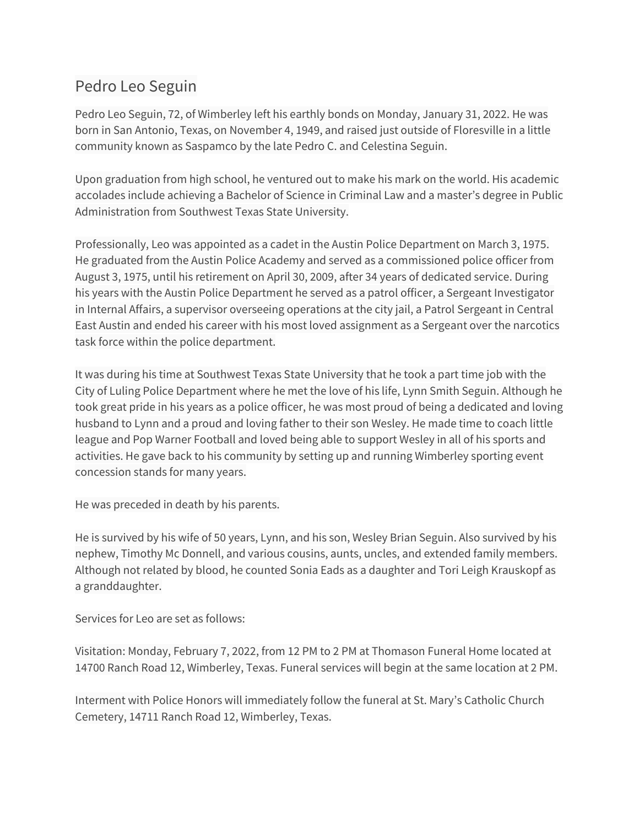## Pedro Leo Seguin

Pedro Leo Seguin, 72, of Wimberley left his earthly bonds on Monday, January 31, 2022. He was born in San Antonio, Texas, on November 4, 1949, and raised just outside of Floresville in a little community known as Saspamco by the late Pedro C. and Celestina Seguin.

Upon graduation from high school, he ventured out to make his mark on the world. His academic accolades include achieving a Bachelor of Science in Criminal Law and a master's degree in Public Administration from Southwest Texas State University.

Professionally, Leo was appointed as a cadet in the Austin Police Department on March 3, 1975. He graduated from the Austin Police Academy and served as a commissioned police officer from August 3, 1975, until his retirement on April 30, 2009, after 34 years of dedicated service. During his years with the Austin Police Department he served as a patrol officer, a Sergeant Investigator in Internal Affairs, a supervisor overseeing operations at the city jail, a Patrol Sergeant in Central East Austin and ended his career with his most loved assignment as a Sergeant over the narcotics task force within the police department.

It was during his time at Southwest Texas State University that he took a part time job with the City of Luling Police Department where he met the love of his life, Lynn Smith Seguin. Although he took great pride in his years as a police officer, he was most proud of being a dedicated and loving husband to Lynn and a proud and loving father to their son Wesley. He made time to coach little league and Pop Warner Football and loved being able to support Wesley in all of his sports and activities. He gave back to his community by setting up and running Wimberley sporting event concession stands for many years.

He was preceded in death by his parents.

He is survived by his wife of 50 years, Lynn, and his son, Wesley Brian Seguin. Also survived by his nephew, Timothy Mc Donnell, and various cousins, aunts, uncles, and extended family members. Although not related by blood, he counted Sonia Eads as a daughter and Tori Leigh Krauskopf as a granddaughter.

## Services for Leo are set as follows:

Visitation: Monday, February 7, 2022, from 12 PM to 2 PM at Thomason Funeral Home located at 14700 Ranch Road 12, Wimberley, Texas. Funeral services will begin at the same location at 2 PM.

Interment with Police Honors will immediately follow the funeral at St. Mary's Catholic Church Cemetery, 14711 Ranch Road 12, Wimberley, Texas.